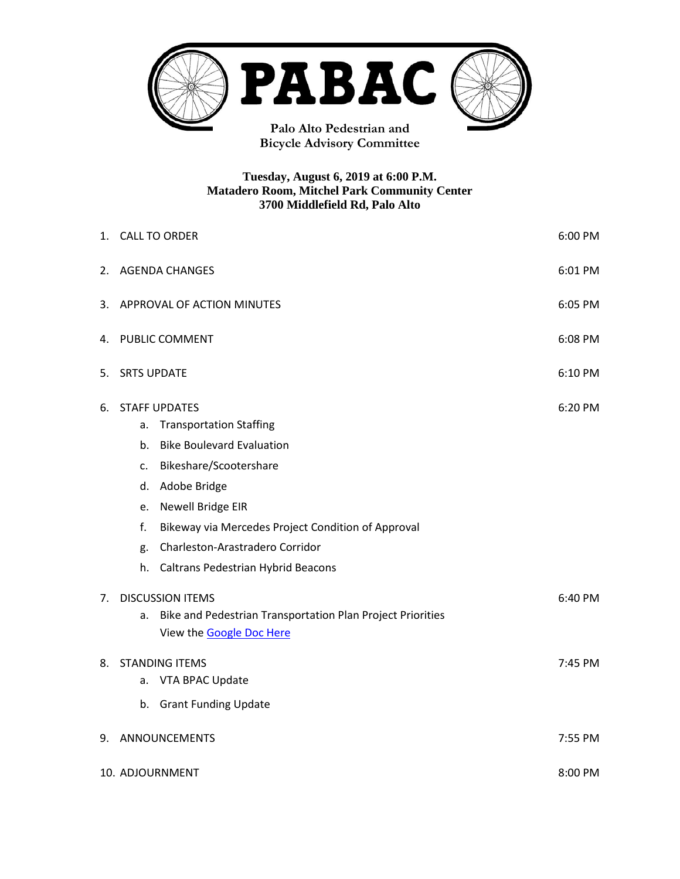

**Bicycle Advisory Committee**

#### **Tuesday, August 6, 2019 at 6:00 P.M. Matadero Room, Mitchel Park Community Center 3700 Middlefield Rd, Palo Alto**

|    | 1. CALL TO ORDER<br>6:00 PM           |                                                            |         |  |
|----|---------------------------------------|------------------------------------------------------------|---------|--|
| 2. | 6:01 PM<br><b>AGENDA CHANGES</b>      |                                                            |         |  |
| 3. | APPROVAL OF ACTION MINUTES<br>6:05 PM |                                                            |         |  |
| 4. | 6:08 PM<br><b>PUBLIC COMMENT</b>      |                                                            |         |  |
| 5. | 6:10 PM<br><b>SRTS UPDATE</b>         |                                                            |         |  |
| 6. |                                       | <b>STAFF UPDATES</b>                                       | 6:20 PM |  |
|    | a.                                    | <b>Transportation Staffing</b>                             |         |  |
|    | b.                                    | <b>Bike Boulevard Evaluation</b>                           |         |  |
|    | c.                                    | Bikeshare/Scootershare                                     |         |  |
|    | d.                                    | Adobe Bridge                                               |         |  |
|    | e.                                    | Newell Bridge EIR                                          |         |  |
|    | f.                                    | Bikeway via Mercedes Project Condition of Approval         |         |  |
|    | g.                                    | Charleston-Arastradero Corridor                            |         |  |
|    | h.                                    | Caltrans Pedestrian Hybrid Beacons                         |         |  |
| 7. | <b>DISCUSSION ITEMS</b>               |                                                            | 6:40 PM |  |
|    | a.                                    | Bike and Pedestrian Transportation Plan Project Priorities |         |  |
|    |                                       | View the <b>Google Doc Here</b>                            |         |  |
| 8. | <b>STANDING ITEMS</b>                 |                                                            | 7:45 PM |  |
|    | a.                                    | VTA BPAC Update                                            |         |  |
|    |                                       | b. Grant Funding Update                                    |         |  |
| 9. |                                       | ANNOUNCEMENTS<br>7:55 PM                                   |         |  |
|    | 8:00 PM<br>10. ADJOURNMENT            |                                                            |         |  |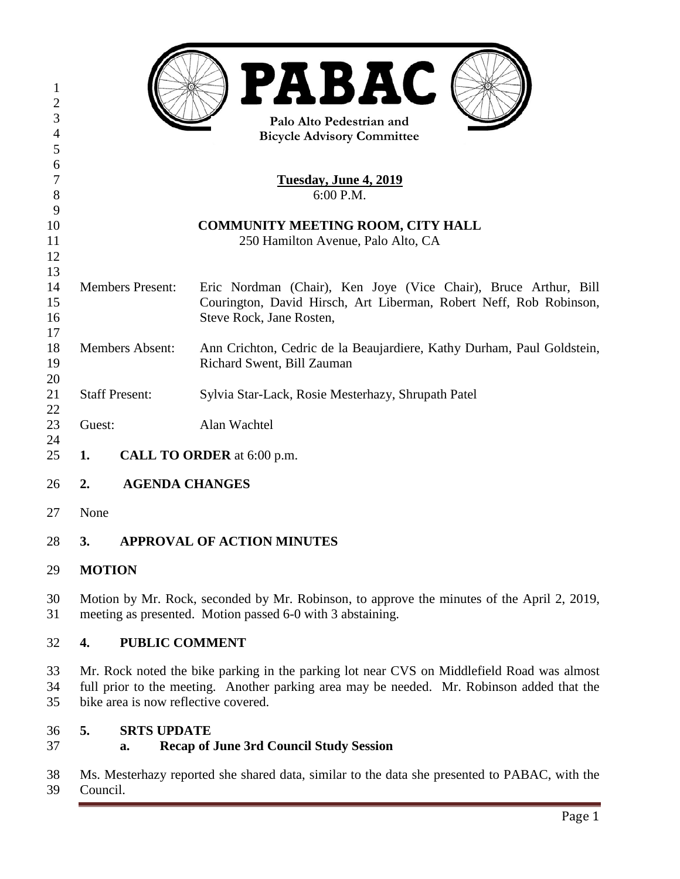| $\mathbf{1}$<br>$\overline{2}$                  |                                          | <b>PABAC</b>                                                           |  |  |  |
|-------------------------------------------------|------------------------------------------|------------------------------------------------------------------------|--|--|--|
| 3<br>Palo Alto Pedestrian and<br>$\overline{4}$ |                                          |                                                                        |  |  |  |
| 5                                               | <b>Bicycle Advisory Committee</b>        |                                                                        |  |  |  |
| 6                                               |                                          |                                                                        |  |  |  |
| $\tau$                                          | <b>Tuesday, June 4, 2019</b>             |                                                                        |  |  |  |
| 8                                               | 6:00 P.M.                                |                                                                        |  |  |  |
| 9                                               |                                          |                                                                        |  |  |  |
| 10                                              | <b>COMMUNITY MEETING ROOM, CITY HALL</b> |                                                                        |  |  |  |
| 11                                              |                                          | 250 Hamilton Avenue, Palo Alto, CA                                     |  |  |  |
| 12                                              |                                          |                                                                        |  |  |  |
| 13                                              |                                          |                                                                        |  |  |  |
| 14                                              | <b>Members Present:</b>                  | Eric Nordman (Chair), Ken Joye (Vice Chair), Bruce Arthur, Bill        |  |  |  |
| 15                                              |                                          | Courington, David Hirsch, Art Liberman, Robert Neff, Rob Robinson,     |  |  |  |
| 16                                              |                                          | Steve Rock, Jane Rosten,                                               |  |  |  |
| 17                                              |                                          |                                                                        |  |  |  |
| 18                                              | <b>Members Absent:</b>                   | Ann Crichton, Cedric de la Beaujardiere, Kathy Durham, Paul Goldstein, |  |  |  |
| 19                                              |                                          | Richard Swent, Bill Zauman                                             |  |  |  |
| 20                                              |                                          |                                                                        |  |  |  |
| 21                                              | <b>Staff Present:</b>                    | Sylvia Star-Lack, Rosie Mesterhazy, Shrupath Patel                     |  |  |  |
| 22<br>23                                        | Guest:                                   | Alan Wachtel                                                           |  |  |  |
| 24                                              |                                          |                                                                        |  |  |  |
| 25                                              | 1.                                       | <b>CALL TO ORDER</b> at 6:00 p.m.                                      |  |  |  |
| 26                                              | 2.                                       | <b>AGENDA CHANGES</b>                                                  |  |  |  |
| 27                                              | None                                     |                                                                        |  |  |  |
| 28                                              | 3.                                       | <b>APPROVAL OF ACTION MINUTES</b>                                      |  |  |  |
| 29                                              | <b>MOTION</b>                            |                                                                        |  |  |  |

 Motion by Mr. Rock, seconded by Mr. Robinson, to approve the minutes of the April 2, 2019, meeting as presented. Motion passed 6-0 with 3 abstaining.

#### **4. PUBLIC COMMENT**

 Mr. Rock noted the bike parking in the parking lot near CVS on Middlefield Road was almost full prior to the meeting. Another parking area may be needed. Mr. Robinson added that the bike area is now reflective covered.

#### **5. SRTS UPDATE**

### **a. Recap of June 3rd Council Study Session**

 Ms. Mesterhazy reported she shared data, similar to the data she presented to PABAC, with the Council.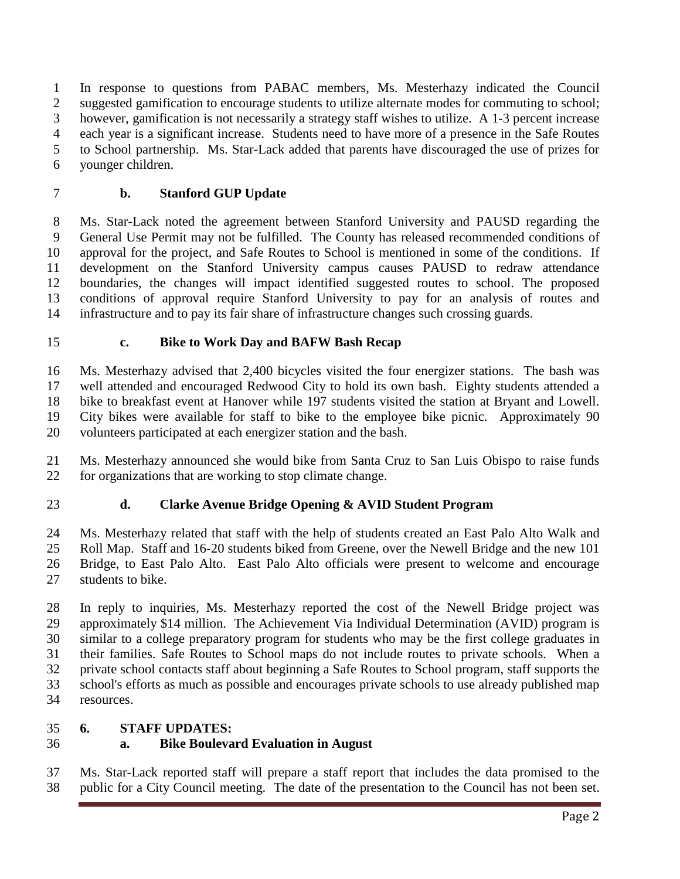In response to questions from PABAC members, Ms. Mesterhazy indicated the Council suggested gamification to encourage students to utilize alternate modes for commuting to school; however, gamification is not necessarily a strategy staff wishes to utilize. A 1-3 percent increase each year is a significant increase. Students need to have more of a presence in the Safe Routes to School partnership. Ms. Star-Lack added that parents have discouraged the use of prizes for younger children.

## **b. Stanford GUP Update**

 Ms. Star-Lack noted the agreement between Stanford University and PAUSD regarding the General Use Permit may not be fulfilled. The County has released recommended conditions of approval for the project, and Safe Routes to School is mentioned in some of the conditions. If development on the Stanford University campus causes PAUSD to redraw attendance boundaries, the changes will impact identified suggested routes to school. The proposed conditions of approval require Stanford University to pay for an analysis of routes and infrastructure and to pay its fair share of infrastructure changes such crossing guards.

#### **c. Bike to Work Day and BAFW Bash Recap**

 Ms. Mesterhazy advised that 2,400 bicycles visited the four energizer stations. The bash was well attended and encouraged Redwood City to hold its own bash. Eighty students attended a bike to breakfast event at Hanover while 197 students visited the station at Bryant and Lowell. City bikes were available for staff to bike to the employee bike picnic. Approximately 90 volunteers participated at each energizer station and the bash.

 Ms. Mesterhazy announced she would bike from Santa Cruz to San Luis Obispo to raise funds for organizations that are working to stop climate change.

### **d. Clarke Avenue Bridge Opening & AVID Student Program**

 Ms. Mesterhazy related that staff with the help of students created an East Palo Alto Walk and Roll Map. Staff and 16-20 students biked from Greene, over the Newell Bridge and the new 101 Bridge, to East Palo Alto. East Palo Alto officials were present to welcome and encourage students to bike.

 In reply to inquiries, Ms. Mesterhazy reported the cost of the Newell Bridge project was approximately \$14 million. The Achievement Via Individual Determination (AVID) program is similar to a college preparatory program for students who may be the first college graduates in their families. Safe Routes to School maps do not include routes to private schools. When a private school contacts staff about beginning a Safe Routes to School program, staff supports the school's efforts as much as possible and encourages private schools to use already published map resources.

#### **6. STAFF UPDATES:**

# **a. Bike Boulevard Evaluation in August**

 Ms. Star-Lack reported staff will prepare a staff report that includes the data promised to the public for a City Council meeting. The date of the presentation to the Council has not been set.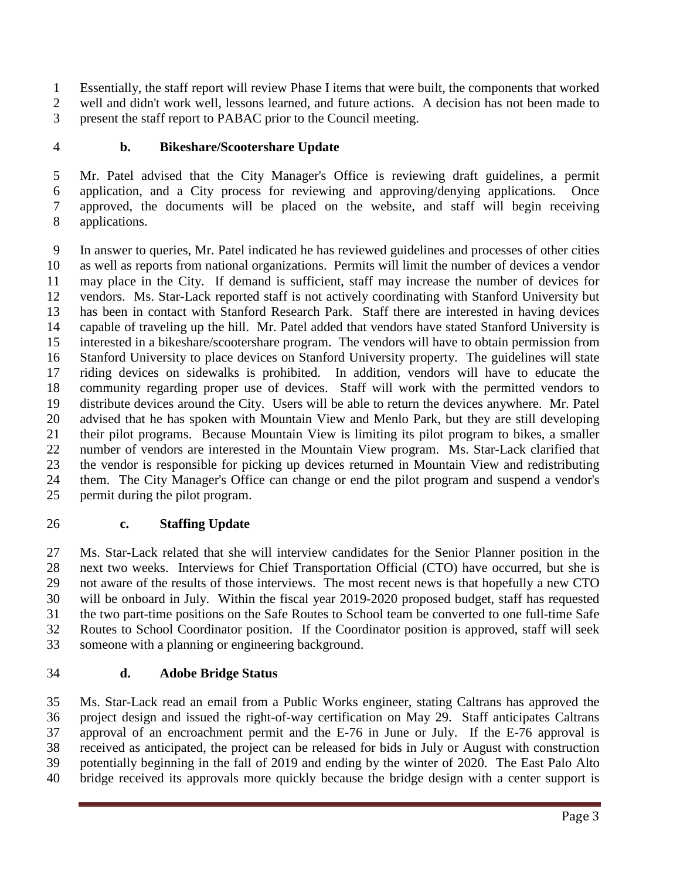Essentially, the staff report will review Phase I items that were built, the components that worked well and didn't work well, lessons learned, and future actions. A decision has not been made to present the staff report to PABAC prior to the Council meeting.

### **b. Bikeshare/Scootershare Update**

 Mr. Patel advised that the City Manager's Office is reviewing draft guidelines, a permit application, and a City process for reviewing and approving/denying applications. Once approved, the documents will be placed on the website, and staff will begin receiving applications.

 In answer to queries, Mr. Patel indicated he has reviewed guidelines and processes of other cities as well as reports from national organizations. Permits will limit the number of devices a vendor may place in the City. If demand is sufficient, staff may increase the number of devices for vendors. Ms. Star-Lack reported staff is not actively coordinating with Stanford University but has been in contact with Stanford Research Park. Staff there are interested in having devices capable of traveling up the hill. Mr. Patel added that vendors have stated Stanford University is interested in a bikeshare/scootershare program. The vendors will have to obtain permission from Stanford University to place devices on Stanford University property. The guidelines will state riding devices on sidewalks is prohibited. In addition, vendors will have to educate the community regarding proper use of devices. Staff will work with the permitted vendors to distribute devices around the City. Users will be able to return the devices anywhere. Mr. Patel advised that he has spoken with Mountain View and Menlo Park, but they are still developing their pilot programs. Because Mountain View is limiting its pilot program to bikes, a smaller number of vendors are interested in the Mountain View program. Ms. Star-Lack clarified that the vendor is responsible for picking up devices returned in Mountain View and redistributing them. The City Manager's Office can change or end the pilot program and suspend a vendor's permit during the pilot program.

### **c. Staffing Update**

 Ms. Star-Lack related that she will interview candidates for the Senior Planner position in the next two weeks. Interviews for Chief Transportation Official (CTO) have occurred, but she is not aware of the results of those interviews. The most recent news is that hopefully a new CTO will be onboard in July. Within the fiscal year 2019-2020 proposed budget, staff has requested the two part-time positions on the Safe Routes to School team be converted to one full-time Safe Routes to School Coordinator position. If the Coordinator position is approved, staff will seek someone with a planning or engineering background.

### **d. Adobe Bridge Status**

 Ms. Star-Lack read an email from a Public Works engineer, stating Caltrans has approved the project design and issued the right-of-way certification on May 29. Staff anticipates Caltrans approval of an encroachment permit and the E-76 in June or July. If the E-76 approval is received as anticipated, the project can be released for bids in July or August with construction potentially beginning in the fall of 2019 and ending by the winter of 2020. The East Palo Alto bridge received its approvals more quickly because the bridge design with a center support is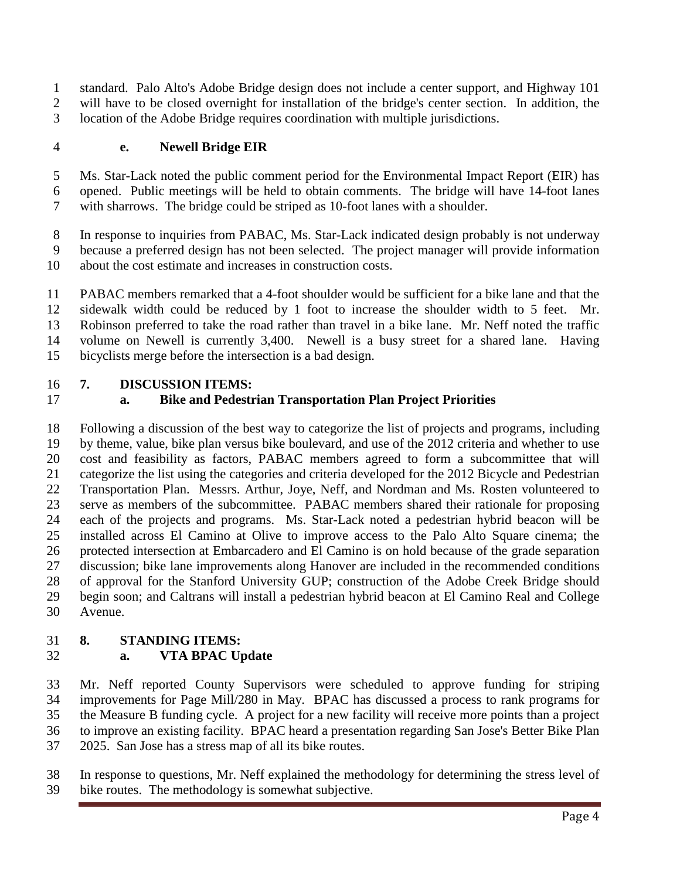standard. Palo Alto's Adobe Bridge design does not include a center support, and Highway 101 will have to be closed overnight for installation of the bridge's center section. In addition, the location of the Adobe Bridge requires coordination with multiple jurisdictions.

#### **e. Newell Bridge EIR**

 Ms. Star-Lack noted the public comment period for the Environmental Impact Report (EIR) has opened. Public meetings will be held to obtain comments. The bridge will have 14-foot lanes with sharrows. The bridge could be striped as 10-foot lanes with a shoulder.

In response to inquiries from PABAC, Ms. Star-Lack indicated design probably is not underway

because a preferred design has not been selected. The project manager will provide information

about the cost estimate and increases in construction costs.

 PABAC members remarked that a 4-foot shoulder would be sufficient for a bike lane and that the sidewalk width could be reduced by 1 foot to increase the shoulder width to 5 feet. Mr. Robinson preferred to take the road rather than travel in a bike lane. Mr. Neff noted the traffic volume on Newell is currently 3,400. Newell is a busy street for a shared lane. Having bicyclists merge before the intersection is a bad design.

#### **7. DISCUSSION ITEMS:**

# **a. Bike and Pedestrian Transportation Plan Project Priorities**

 Following a discussion of the best way to categorize the list of projects and programs, including by theme, value, bike plan versus bike boulevard, and use of the 2012 criteria and whether to use cost and feasibility as factors, PABAC members agreed to form a subcommittee that will categorize the list using the categories and criteria developed for the 2012 Bicycle and Pedestrian Transportation Plan. Messrs. Arthur, Joye, Neff, and Nordman and Ms. Rosten volunteered to serve as members of the subcommittee. PABAC members shared their rationale for proposing each of the projects and programs. Ms. Star-Lack noted a pedestrian hybrid beacon will be installed across El Camino at Olive to improve access to the Palo Alto Square cinema; the protected intersection at Embarcadero and El Camino is on hold because of the grade separation discussion; bike lane improvements along Hanover are included in the recommended conditions of approval for the Stanford University GUP; construction of the Adobe Creek Bridge should begin soon; and Caltrans will install a pedestrian hybrid beacon at El Camino Real and College Avenue.

### **8. STANDING ITEMS:**

### **a. VTA BPAC Update**

 Mr. Neff reported County Supervisors were scheduled to approve funding for striping improvements for Page Mill/280 in May. BPAC has discussed a process to rank programs for the Measure B funding cycle. A project for a new facility will receive more points than a project to improve an existing facility. BPAC heard a presentation regarding San Jose's Better Bike Plan 2025. San Jose has a stress map of all its bike routes.

 In response to questions, Mr. Neff explained the methodology for determining the stress level of bike routes. The methodology is somewhat subjective.